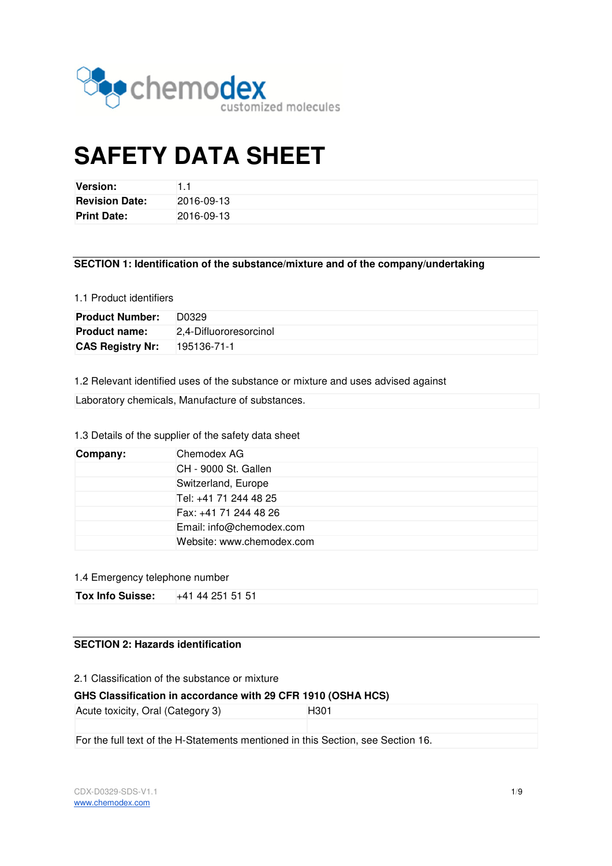

# **SAFETY DATA SHEET**

| Version:              |            |
|-----------------------|------------|
| <b>Revision Date:</b> | 2016-09-13 |
| <b>Print Date:</b>    | 2016-09-13 |

**SECTION 1: Identification of the substance/mixture and of the company/undertaking** 

#### 1.1 Product identifiers

| <b>Product Number:</b>  | D0329                  |
|-------------------------|------------------------|
| <b>Product name:</b>    | 2.4-Difluororesorcinol |
| <b>CAS Registry Nr:</b> | 195136-71-1            |

1.2 Relevant identified uses of the substance or mixture and uses advised against

Laboratory chemicals, Manufacture of substances.

# 1.3 Details of the supplier of the safety data sheet

| Company: | Chemodex AG               |
|----------|---------------------------|
|          | CH - 9000 St. Gallen      |
|          | Switzerland, Europe       |
|          | Tel: +41 71 244 48 25     |
|          | Fax: +41 71 244 48 26     |
|          | Email: info@chemodex.com  |
|          | Website: www.chemodex.com |

## 1.4 Emergency telephone number

| Tox Info Suisse: | +41 44 251 51 51 |
|------------------|------------------|

# **SECTION 2: Hazards identification**

2.1 Classification of the substance or mixture

## **GHS Classification in accordance with 29 CFR 1910 (OSHA HCS)**

Acute toxicity, Oral (Category 3) H301

For the full text of the H-Statements mentioned in this Section, see Section 16.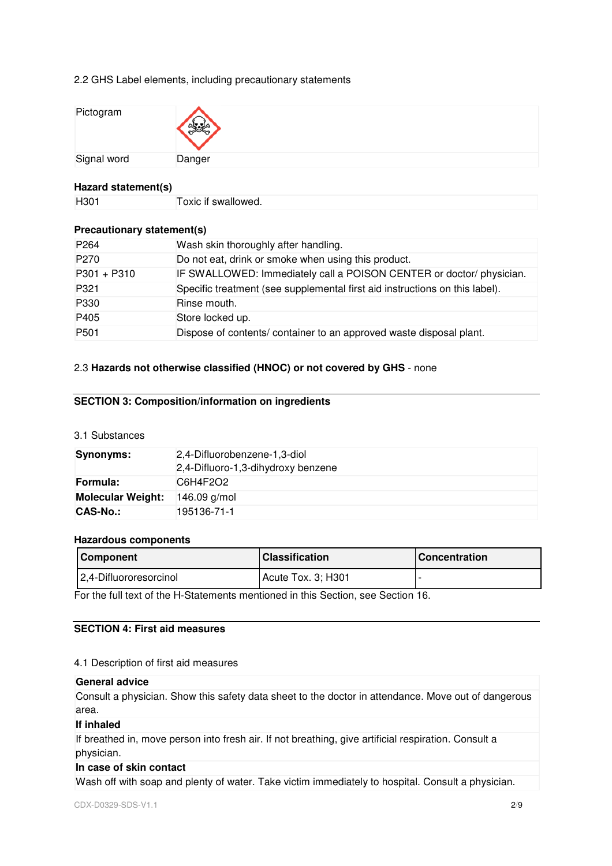## 2.2 GHS Label elements, including precautionary statements

| Pictogram   |        |
|-------------|--------|
| Signal word | Danger |

## **Hazard statement(s)**

| H <sub>301</sub> | Toxic if swallowed. |
|------------------|---------------------|
|------------------|---------------------|

# **Precautionary statement(s)**

| P <sub>264</sub> | Wash skin thoroughly after handling.                                        |
|------------------|-----------------------------------------------------------------------------|
| P <sub>270</sub> | Do not eat, drink or smoke when using this product.                         |
| $P301 + P310$    | IF SWALLOWED: Immediately call a POISON CENTER or doctor/ physician.        |
| P321             | Specific treatment (see supplemental first aid instructions on this label). |
| P330             | Rinse mouth.                                                                |
| P405             | Store locked up.                                                            |
| P <sub>501</sub> | Dispose of contents/container to an approved waste disposal plant.          |

# 2.3 **Hazards not otherwise classified (HNOC) or not covered by GHS** - none

# **SECTION 3: Composition/information on ingredients**

# 3.1 Substances

| <b>Synonyms:</b>         | 2,4-Difluorobenzene-1,3-diol<br>2,4-Difluoro-1,3-dihydroxy benzene |
|--------------------------|--------------------------------------------------------------------|
| Formula:                 | C6H4F2O2                                                           |
| <b>Molecular Weight:</b> | $146.09$ g/mol                                                     |
| CAS-No.:                 | 195136-71-1                                                        |

## **Hazardous components**

| <b>Component</b>       | <b>Classification</b> | <b>I</b> Concentration |
|------------------------|-----------------------|------------------------|
| 2,4-Difluororesorcinol | Acute Tox. 3; H301    |                        |

For the full text of the H-Statements mentioned in this Section, see Section 16.

# **SECTION 4: First aid measures**

## 4.1 Description of first aid measures

# **General advice**

Consult a physician. Show this safety data sheet to the doctor in attendance. Move out of dangerous area.

## **If inhaled**

If breathed in, move person into fresh air. If not breathing, give artificial respiration. Consult a physician.

## **In case of skin contact**

Wash off with soap and plenty of water. Take victim immediately to hospital. Consult a physician.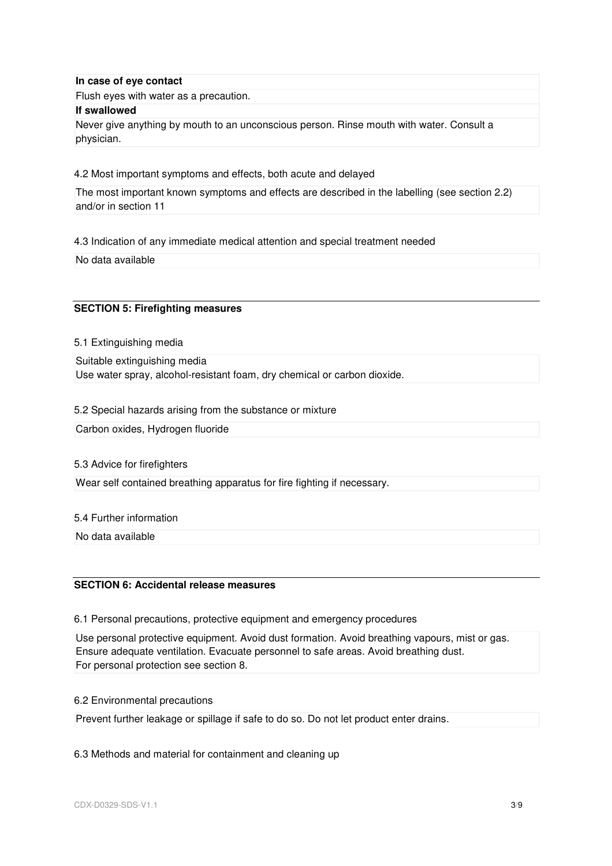## **In case of eye contact**

Flush eyes with water as a precaution.

#### **If swallowed**

Never give anything by mouth to an unconscious person. Rinse mouth with water. Consult a physician.

4.2 Most important symptoms and effects, both acute and delayed

The most important known symptoms and effects are described in the labelling (see section 2.2) and/or in section 11

4.3 Indication of any immediate medical attention and special treatment needed

No data available

## **SECTION 5: Firefighting measures**

5.1 Extinguishing media

Suitable extinguishing media Use water spray, alcohol-resistant foam, dry chemical or carbon dioxide.

5.2 Special hazards arising from the substance or mixture

Carbon oxides, Hydrogen fluoride

## 5.3 Advice for firefighters

Wear self contained breathing apparatus for fire fighting if necessary.

## 5.4 Further information

No data available

# **SECTION 6: Accidental release measures**

6.1 Personal precautions, protective equipment and emergency procedures

Use personal protective equipment. Avoid dust formation. Avoid breathing vapours, mist or gas. Ensure adequate ventilation. Evacuate personnel to safe areas. Avoid breathing dust. For personal protection see section 8.

6.2 Environmental precautions

Prevent further leakage or spillage if safe to do so. Do not let product enter drains.

6.3 Methods and material for containment and cleaning up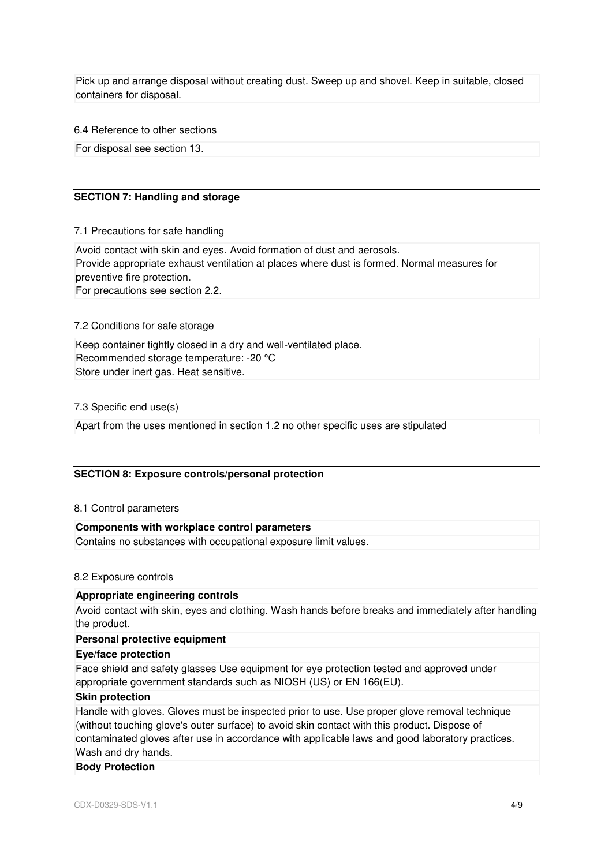Pick up and arrange disposal without creating dust. Sweep up and shovel. Keep in suitable, closed containers for disposal.

6.4 Reference to other sections

For disposal see section 13.

## **SECTION 7: Handling and storage**

7.1 Precautions for safe handling

Avoid contact with skin and eyes. Avoid formation of dust and aerosols. Provide appropriate exhaust ventilation at places where dust is formed. Normal measures for preventive fire protection.

For precautions see section 2.2.

#### 7.2 Conditions for safe storage

Keep container tightly closed in a dry and well-ventilated place. Recommended storage temperature: -20 °C Store under inert gas. Heat sensitive.

7.3 Specific end use(s)

Apart from the uses mentioned in section 1.2 no other specific uses are stipulated

## **SECTION 8: Exposure controls/personal protection**

#### 8.1 Control parameters

## **Components with workplace control parameters**

Contains no substances with occupational exposure limit values.

#### 8.2 Exposure controls

# **Appropriate engineering controls**

Avoid contact with skin, eyes and clothing. Wash hands before breaks and immediately after handling the product.

#### **Personal protective equipment**

#### **Eye/face protection**

Face shield and safety glasses Use equipment for eye protection tested and approved under appropriate government standards such as NIOSH (US) or EN 166(EU).

## **Skin protection**

Handle with gloves. Gloves must be inspected prior to use. Use proper glove removal technique (without touching glove's outer surface) to avoid skin contact with this product. Dispose of contaminated gloves after use in accordance with applicable laws and good laboratory practices. Wash and dry hands.

#### **Body Protection**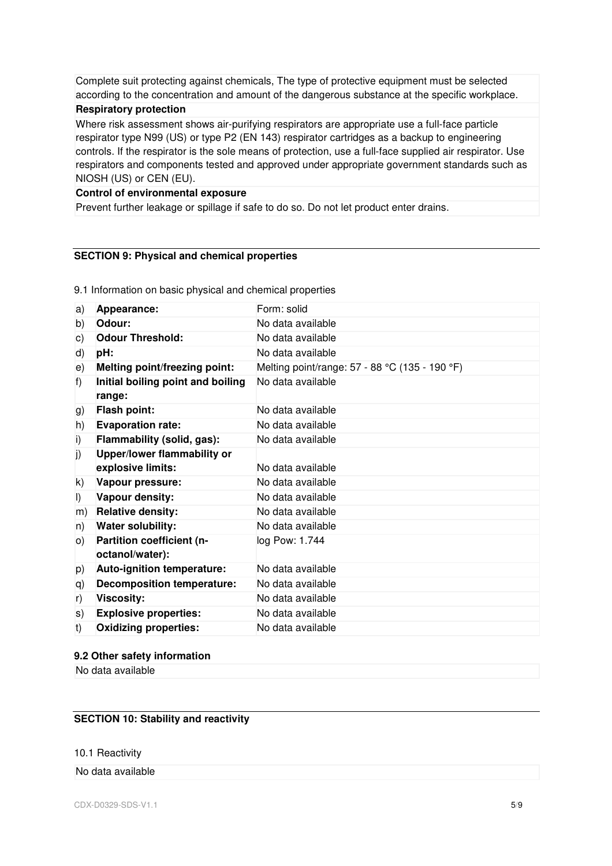Complete suit protecting against chemicals, The type of protective equipment must be selected according to the concentration and amount of the dangerous substance at the specific workplace.

## **Respiratory protection**

Where risk assessment shows air-purifying respirators are appropriate use a full-face particle respirator type N99 (US) or type P2 (EN 143) respirator cartridges as a backup to engineering controls. If the respirator is the sole means of protection, use a full-face supplied air respirator. Use respirators and components tested and approved under appropriate government standards such as NIOSH (US) or CEN (EU).

## **Control of environmental exposure**

Prevent further leakage or spillage if safe to do so. Do not let product enter drains.

# **SECTION 9: Physical and chemical properties**

9.1 Information on basic physical and chemical properties

| a)      | Appearance:                                  | Form: solid                                    |
|---------|----------------------------------------------|------------------------------------------------|
| b)      | Odour:                                       | No data available                              |
| c)      | <b>Odour Threshold:</b>                      | No data available                              |
| d)      | pH:                                          | No data available                              |
| e)      | <b>Melting point/freezing point:</b>         | Melting point/range: 57 - 88 °C (135 - 190 °F) |
| f)      | Initial boiling point and boiling<br>range:  | No data available                              |
| g)      | <b>Flash point:</b>                          | No data available                              |
| h)      | <b>Evaporation rate:</b>                     | No data available                              |
| i)      | Flammability (solid, gas):                   | No data available                              |
| j)      | Upper/lower flammability or                  |                                                |
|         | explosive limits:                            | No data available                              |
| k)      | Vapour pressure:                             | No data available                              |
| $\vert$ | Vapour density:                              | No data available                              |
| m)      | <b>Relative density:</b>                     | No data available                              |
| n)      | Water solubility:                            | No data available                              |
| O()     | Partition coefficient (n-<br>octanol/water): | log Pow: 1.744                                 |
| p)      | Auto-ignition temperature:                   | No data available                              |
| q)      | <b>Decomposition temperature:</b>            | No data available                              |
| r)      | Viscosity:                                   | No data available                              |
| s)      | <b>Explosive properties:</b>                 | No data available                              |
| t)      | <b>Oxidizing properties:</b>                 | No data available                              |

## **9.2 Other safety information**

No data available

# **SECTION 10: Stability and reactivity**

10.1 Reactivity

No data available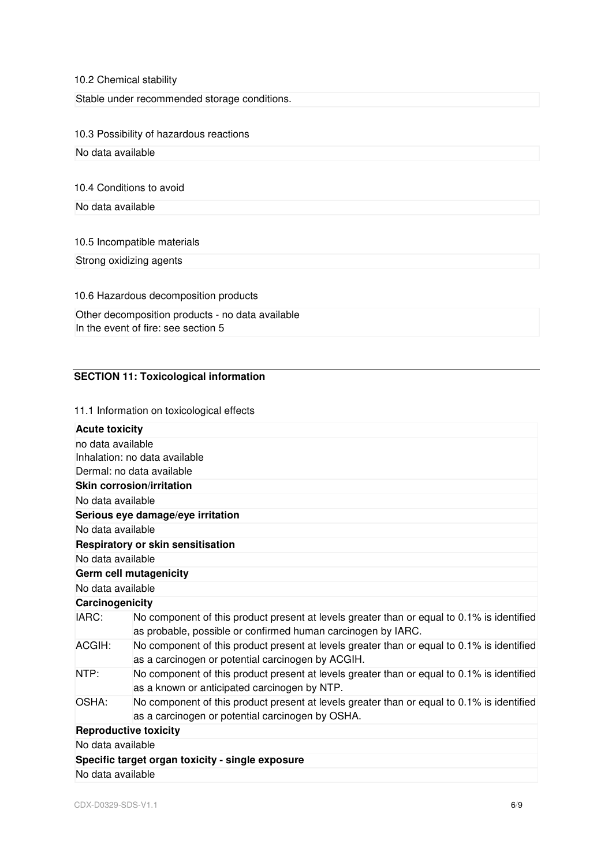# 10.2 Chemical stability

Stable under recommended storage conditions.

# 10.3 Possibility of hazardous reactions

No data available

## 10.4 Conditions to avoid

No data available

## 10.5 Incompatible materials

Strong oxidizing agents

10.6 Hazardous decomposition products

| Other decomposition products - no data available |
|--------------------------------------------------|
| In the event of fire: see section 5              |

# **SECTION 11: Toxicological information**

## 11.1 Information on toxicological effects

| <b>Acute toxicity</b>        |                                                                                                                                                            |
|------------------------------|------------------------------------------------------------------------------------------------------------------------------------------------------------|
| no data available            |                                                                                                                                                            |
|                              | Inhalation: no data available                                                                                                                              |
|                              | Dermal: no data available                                                                                                                                  |
|                              | <b>Skin corrosion/irritation</b>                                                                                                                           |
| No data available            |                                                                                                                                                            |
|                              | Serious eye damage/eye irritation                                                                                                                          |
| No data available            |                                                                                                                                                            |
|                              | Respiratory or skin sensitisation                                                                                                                          |
| No data available            |                                                                                                                                                            |
|                              | Germ cell mutagenicity                                                                                                                                     |
| No data available            |                                                                                                                                                            |
| Carcinogenicity              |                                                                                                                                                            |
| IARC:                        | No component of this product present at levels greater than or equal to 0.1% is identified<br>as probable, possible or confirmed human carcinogen by IARC. |
| ACGIH:                       | No component of this product present at levels greater than or equal to 0.1% is identified<br>as a carcinogen or potential carcinogen by ACGIH.            |
| NTP:                         | No component of this product present at levels greater than or equal to 0.1% is identified<br>as a known or anticipated carcinogen by NTP.                 |
| OSHA:                        | No component of this product present at levels greater than or equal to 0.1% is identified<br>as a carcinogen or potential carcinogen by OSHA.             |
| <b>Reproductive toxicity</b> |                                                                                                                                                            |
| No data available            |                                                                                                                                                            |
|                              | Specific target organ toxicity - single exposure                                                                                                           |
| No data available            |                                                                                                                                                            |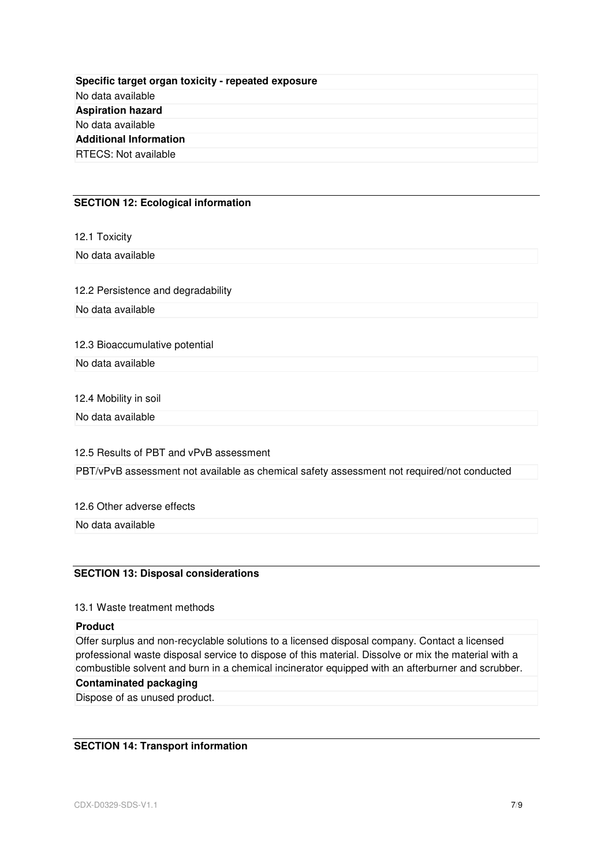| Specific target organ toxicity - repeated exposure |  |
|----------------------------------------------------|--|
| No data available                                  |  |
| <b>Aspiration hazard</b>                           |  |
| No data available                                  |  |
| <b>Additional Information</b>                      |  |
| <b>RTECS: Not available</b>                        |  |

## **SECTION 12: Ecological information**

12.1 Toxicity

No data available

12.2 Persistence and degradability

No data available

12.3 Bioaccumulative potential

No data available

12.4 Mobility in soil

No data available

12.5 Results of PBT and vPvB assessment

PBT/vPvB assessment not available as chemical safety assessment not required/not conducted

12.6 Other adverse effects

No data available

# **SECTION 13: Disposal considerations**

## 13.1 Waste treatment methods

## **Product**

Offer surplus and non-recyclable solutions to a licensed disposal company. Contact a licensed professional waste disposal service to dispose of this material. Dissolve or mix the material with a combustible solvent and burn in a chemical incinerator equipped with an afterburner and scrubber.

# **Contaminated packaging**

Dispose of as unused product.

# **SECTION 14: Transport information**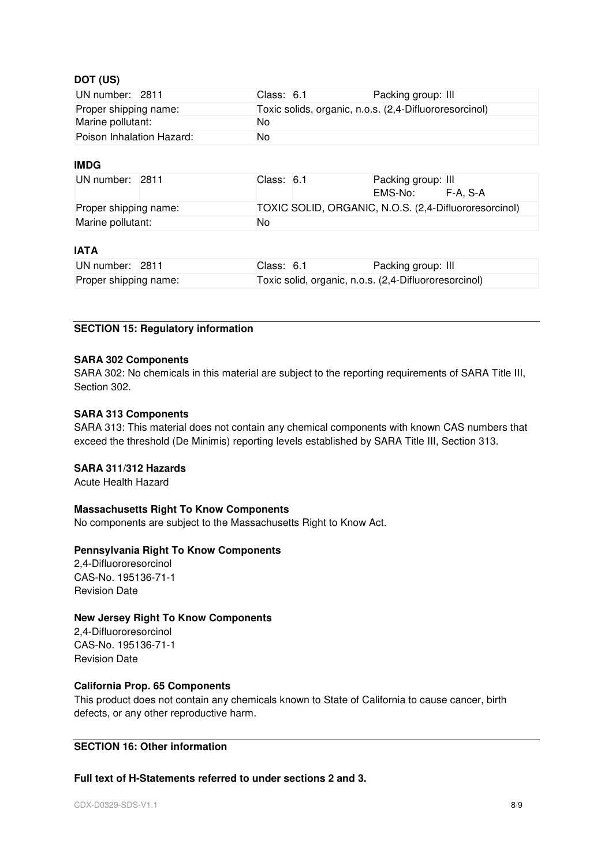# **DOT (US)**

| UN number: 2811           |  | Class: 6.1                                             |  | Packing group: III |  |
|---------------------------|--|--------------------------------------------------------|--|--------------------|--|
| Proper shipping name:     |  | Toxic solids, organic, n.o.s. (2,4-Difluororesorcinol) |  |                    |  |
| Marine pollutant:         |  | No                                                     |  |                    |  |
| Poison Inhalation Hazard: |  | No                                                     |  |                    |  |

# **IMDG**

| UN number: 2811       |  | Class: 6.1                                            |  | Packing group: III |          |  |
|-----------------------|--|-------------------------------------------------------|--|--------------------|----------|--|
|                       |  |                                                       |  | EMS-No:            | F-A. S-A |  |
| Proper shipping name: |  | TOXIC SOLID, ORGANIC, N.O.S. (2,4-Difluororesorcinol) |  |                    |          |  |
| Marine pollutant:     |  | No                                                    |  |                    |          |  |

# **IATA**

| UN number: 2811       |  | Class: 6.1 | Packing group: III                                    |
|-----------------------|--|------------|-------------------------------------------------------|
| Proper shipping name: |  |            | Toxic solid, organic, n.o.s. (2,4-Difluororesorcinol) |

# **SECTION 15: Regulatory information**

# **SARA 302 Components**

SARA 302: No chemicals in this material are subject to the reporting requirements of SARA Title III, Section 302.

# **SARA 313 Components**

SARA 313: This material does not contain any chemical components with known CAS numbers that exceed the threshold (De Minimis) reporting levels established by SARA Title III, Section 313.

# **SARA 311/312 Hazards**

Acute Health Hazard

# **Massachusetts Right To Know Components**

No components are subject to the Massachusetts Right to Know Act.

# **Pennsylvania Right To Know Components**

2,4-Difluororesorcinol CAS-No. 195136-71-1 Revision Date

# **New Jersey Right To Know Components**

2,4-Difluororesorcinol CAS-No. 195136-71-1 Revision Date

# **California Prop. 65 Components**

This product does not contain any chemicals known to State of California to cause cancer, birth defects, or any other reproductive harm.

# **SECTION 16: Other information**

# **Full text of H-Statements referred to under sections 2 and 3.**